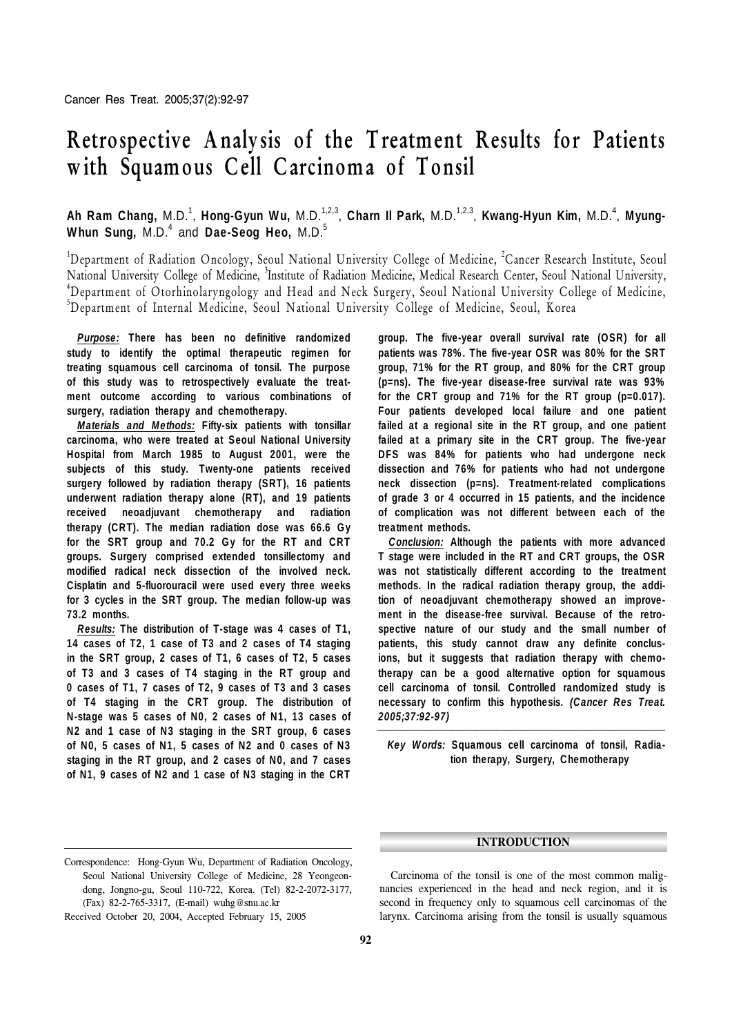# **Retrospective Analysis of the T reatment Results for Patients with Squamous Cell Carcinoma of Tonsil**

# Ah Ram Chang, M.D.<sup>1</sup>, Hong-Gyun Wu, M.D.<sup>1,2,3</sup>, Charn II Park, M.D.<sup>1,2,3</sup>, Kwang-Hyun Kim, M.D.<sup>4</sup>, Myung-**Whun Sung, M.D.<sup>4</sup> and Dae-Seog Heo, M.D.<sup>5</sup>**

<sup>1</sup>Department of Radiation Oncology, Seoul National University College of Medicine, <sup>2</sup>Cancer Research Institute, Seoul National University College of Medicine, <sup>3</sup>Institute of Radiation Medicine, Medical Research Center, Seoul National University, 4 Department of Otorhinolaryngology and Head and Neck Surgery, Seoul National University College of Medicine, 5 Department of Internal Medicine, Seoul National University College of Medicine, Seoul, Korea

*Purpose:* **There has been no definitive randomized study to identify the optimal therapeutic regimen for treating squamous cell carcinoma of tonsil. The purpose of this study was to retrospectively evaluate the treatment outcome according to various combinations of surgery, radiation therapy and chemotherapy.**

*Materials and Methods:* **Fifty-six patients with tonsillar carcinoma, who were treated at Seoul National University**  Hospital from March 1985 to August 2001, were the **subjects of this study. Twenty-one patients received surgery followed by radiation therapy (SRT), 16 patients underwent radiation therapy alone (RT), and 19 patients received neoadjuvant chemotherapy and radiation therapy (CRT). The median radiation dose was 66.6 Gy for the SRT group and 70.2 Gy for the RT and CRT groups. Surgery comprised extended tonsillectomy and modified radical neck dissection of the involved neck. Cisplatin and 5-fluorouracil were used every three weeks for 3 cycles in the SRT group. The median follow-up was 73.2 months.**

*Results:* **The distribution of T-stage was 4 cases of T1, 14 cases of T2, 1 case of T3 and 2 cases of T4 staging in the SRT group, 2 cases of T1, 6 cases of T2, 5 cases of T3 and 3 cases of T4 staging in the RT group and 0 cases of T1, 7 cases of T2, 9 cases of T3 and 3 cases of T4 staging in the CRT group. The distribution of N-stage was 5 cases of N0, 2 cases of N1, 13 cases of N2 and 1 case of N3 staging in the SRT group, 6 cases of N0, 5 cases of N1, 5 cases of N2 and 0 cases of N3 staging in the RT group, and 2 cases of N0, and 7 cases of N1, 9 cases of N2 and 1 case of N3 staging in the CRT**

**group. The five-year overall survival rate (OSR) for all patients was 78% . The five-year OSR was 80% for the SRT group, 71% for the RT group, and 80% for the CRT group (p=ns). The five-year disease-free survival rate was 93% for the CRT group and 71% for the RT group (p=0.017). Four patients developed local failure and one patient failed at a regional site in the RT group, and one patient failed at a primary site in the CRT group. The five-year DFS was 84% for patients who had undergone neck dissection and 76% for patients who had not undergone neck dissection (p=ns). Treatment-related complications of grade 3 or 4 occurred in 15 patients, and the incidence of complication was not different between each of the treatment methods.**

*Conclusion:* **Although the patients with more advanced T stage were included in the RT and CRT groups, the OSR was not statistically different according to the treatment methods. In the radical radiation therapy group, the addition of neoadjuvant chemotherapy showed an improvement in the disease-free survival. Because of the retrospective nature of our study and the small number of patients, this study cannot draw any definite conclusions, but it suggests that radiation therapy with chemotherapy can be a good alternative option for squamous cell carcinoma of tonsil. Controlled randomized study is necessary to confirm this hypothesis.** *(Cancer Res Treat. 2005;37:92-97)*

*Key W ords:* **Squamous cell carcinoma of tonsil, Radiation therapy, Surgery, Chemotherapy**

## **INTRODUCTION**

 Carcinoma of the tonsil is one of the most common malignancies experienced in the head and neck region, and it is second in frequency only to squamous cell carcinomas of the larynx. Carcinoma arising from the tonsil is usually squamous

Correspondence: Hong-Gyun Wu, Department of Radiation Oncology, Seoul National University College of Medicine, 28 Yeongeondong, Jongno-gu, Seoul 110-722, Korea. (Tel) 82-2-2072-3177, (Fax) 82-2-765-3317, (E-mail) wuhg@snu.ac.kr

Received October 20, 2004, Accepted February 15, 2005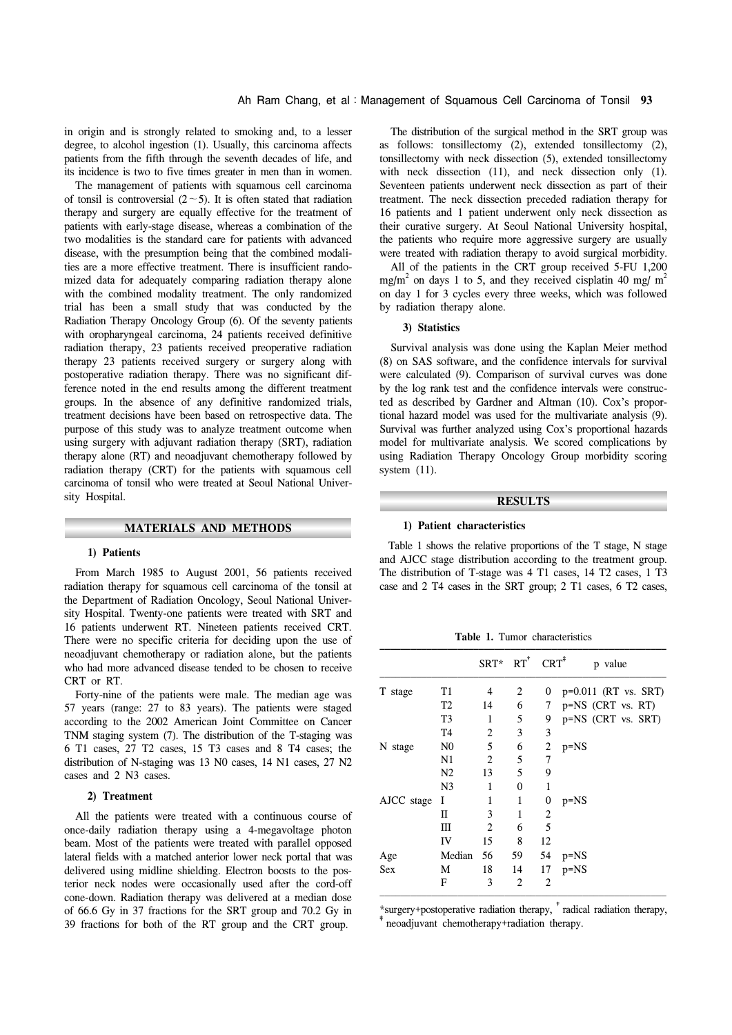in origin and is strongly related to smoking and, to a lesser degree, to alcohol ingestion (1). Usually, this carcinoma affects patients from the fifth through the seventh decades of life, and its incidence is two to five times greater in men than in women.

 The management of patients with squamous cell carcinoma of tonsil is controversial  $(2-5)$ . It is often stated that radiation therapy and surgery are equally effective for the treatment of patients with early-stage disease, whereas a combination of the two modalities is the standard care for patients with advanced disease, with the presumption being that the combined modalities are a more effective treatment. There is insufficient randomized data for adequately comparing radiation therapy alone with the combined modality treatment. The only randomized trial has been a small study that was conducted by the Radiation Therapy Oncology Group (6). Of the seventy patients with oropharyngeal carcinoma, 24 patients received definitive radiation therapy, 23 patients received preoperative radiation therapy 23 patients received surgery or surgery along with postoperative radiation therapy. There was no significant difference noted in the end results among the different treatment groups. In the absence of any definitive randomized trials, treatment decisions have been based on retrospective data. The purpose of this study was to analyze treatment outcome when using surgery with adjuvant radiation therapy (SRT), radiation therapy alone (RT) and neoadjuvant chemotherapy followed by radiation therapy (CRT) for the patients with squamous cell carcinoma of tonsil who were treated at Seoul National University Hospital.

#### **MATERIALS AND METHODS**

#### **1) Patients**

 From March 1985 to August 2001, 56 patients received radiation therapy for squamous cell carcinoma of the tonsil at the Department of Radiation Oncology, Seoul National University Hospital. Twenty-one patients were treated with SRT and 16 patients underwent RT. Nineteen patients received CRT. There were no specific criteria for deciding upon the use of neoadjuvant chemotherapy or radiation alone, but the patients who had more advanced disease tended to be chosen to receive CRT or RT.

 Forty-nine of the patients were male. The median age was 57 years (range: 27 to 83 years). The patients were staged according to the 2002 American Joint Committee on Cancer TNM staging system (7). The distribution of the T-staging was 6 T1 cases, 27 T2 cases, 15 T3 cases and 8 T4 cases; the distribution of N-staging was 13 N0 cases, 14 N1 cases, 27 N2 cases and 2 N3 cases.

#### **2) Treatment**

 All the patients were treated with a continuous course of once-daily radiation therapy using a 4-megavoltage photon beam. Most of the patients were treated with parallel opposed lateral fields with a matched anterior lower neck portal that was delivered using midline shielding. Electron boosts to the posterior neck nodes were occasionally used after the cord-off cone-down. Radiation therapy was delivered at a median dose of 66.6 Gy in 37 fractions for the SRT group and 70.2 Gy in 39 fractions for both of the RT group and the CRT group.

 The distribution of the surgical method in the SRT group was as follows: tonsillectomy (2), extended tonsillectomy (2), tonsillectomy with neck dissection (5), extended tonsillectomy with neck dissection (11), and neck dissection only (1). Seventeen patients underwent neck dissection as part of their treatment. The neck dissection preceded radiation therapy for 16 patients and 1 patient underwent only neck dissection as their curative surgery. At Seoul National University hospital, the patients who require more aggressive surgery are usually were treated with radiation therapy to avoid surgical morbidity.

 All of the patients in the CRT group received 5-FU 1,200 mg/m<sup>2</sup> on days 1 to 5, and they received cisplatin 40 mg/m<sup>2</sup> on day 1 for 3 cycles every three weeks, which was followed by radiation therapy alone.

## **3) Statistics**

 Survival analysis was done using the Kaplan Meier method (8) on SAS software, and the confidence intervals for survival were calculated (9). Comparison of survival curves was done by the log rank test and the confidence intervals were constructed as described by Gardner and Altman (10). Cox's proportional hazard model was used for the multivariate analysis (9). Survival was further analyzed using Cox's proportional hazards model for multivariate analysis. We scored complications by using Radiation Therapy Oncology Group morbidity scoring system  $(11)$ .

#### **RESULTS**

### **1) Patient characteristics**

 Table 1 shows the relative proportions of the T stage, N stage and AJCC stage distribution according to the treatment group. The distribution of T-stage was 4 T1 cases, 14 T2 cases, 1 T3 case and 2 T4 cases in the SRT group; 2 T1 cases, 6 T2 cases,

**Table 1.** Tumor characteristics

|            |                | $SRT^*$ $RT^*$ $CRT^*$ |          |                | p value                |
|------------|----------------|------------------------|----------|----------------|------------------------|
| T stage    | T1             | 4                      | 2        | 0              | $p=0.011$ (RT vs. SRT) |
|            | T2             | 14                     | 6        | 7              | $p=NS$ (CRT vs. RT)    |
|            | T3             | 1                      | 5        | 9              | p=NS (CRT vs. SRT)     |
|            | T <sub>4</sub> | 2                      | 3        | 3              |                        |
| N stage    | $_{\rm N0}$    | 5                      | 6        | 2              | $p = NS$               |
|            | N <sub>1</sub> | $\mathfrak{2}$         | 5        | 7              |                        |
|            | N <sub>2</sub> | 13                     | 5        | 9              |                        |
|            | N <sub>3</sub> | 1                      | $\theta$ | 1              |                        |
| AJCC stage | I              | 1                      | 1        | 0              | $p = NS$               |
|            | П              | 3                      | 1        | 2              |                        |
|            | Ш              | 2                      | 6        | 5              |                        |
|            | IV             | 15                     | 8        | 12             |                        |
| Age        | Median         | 56                     | 59       | 54             | $p=NS$                 |
| <b>Sex</b> | М              | 18                     | 14       | 17             | $p=NS$                 |
|            | F              | 3                      | 2        | $\overline{c}$ |                        |

 \*surgery+postoperative radiation therapy,  $\dot{a}^{\dagger}$  radical radiation therapy, ‡neoadjuvant chemotherapy+radiation therapy.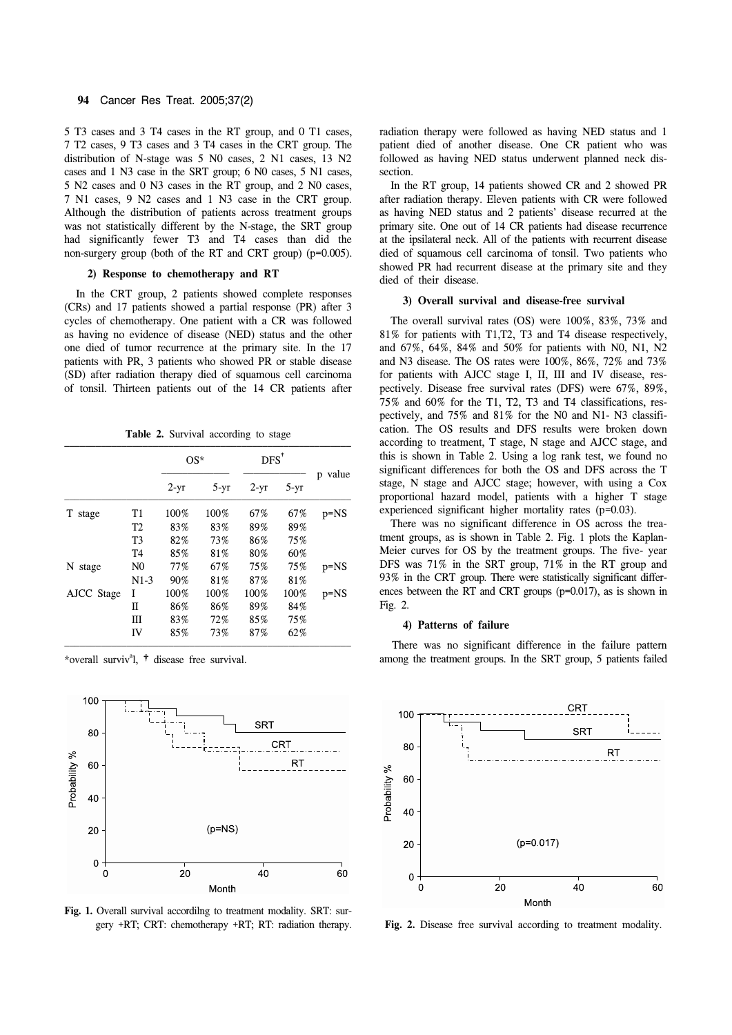## **94** Cancer Res Treat. 2005;37(2)

5 T3 cases and 3 T4 cases in the RT group, and 0 T1 cases, 7 T2 cases, 9 T3 cases and 3 T4 cases in the CRT group. The distribution of N-stage was 5 N0 cases, 2 N1 cases, 13 N2 cases and 1 N3 case in the SRT group; 6 N0 cases, 5 N1 cases, 5 N2 cases and 0 N3 cases in the RT group, and 2 N0 cases, 7 N1 cases, 9 N2 cases and 1 N3 case in the CRT group. Although the distribution of patients across treatment groups was not statistically different by the N-stage, the SRT group had significantly fewer T3 and T4 cases than did the non-surgery group (both of the RT and CRT group) (p=0.005).

## **2) Response to chemotherapy and RT**

 In the CRT group, 2 patients showed complete responses (CRs) and 17 patients showed a partial response (PR) after 3 cycles of chemotherapy. One patient with a CR was followed as having no evidence of disease (NED) status and the other one died of tumor recurrence at the primary site. In the 17 patients with PR, 3 patients who showed PR or stable disease (SD) after radiation therapy died of squamous cell carcinoma of tonsil. Thirteen patients out of the 14 CR patients after

**Table 2.** Survival according to stage

|            |                | $OS^*$ |        | $DFS^{\dagger}$ |        |            |
|------------|----------------|--------|--------|-----------------|--------|------------|
|            |                | $2-yr$ | $5-yr$ | $2-yr$          | $5-yr$ | value<br>p |
| T stage    | T1             | 100%   | 100%   | 67%             | 67%    | $p=NS$     |
|            | T <sub>2</sub> | 83%    | 83%    | 89%             | 89%    |            |
|            | T <sub>3</sub> | 82%    | 73%    | 86%             | 75%    |            |
|            | T <sub>4</sub> | 85%    | 81%    | 80%             | 60%    |            |
| N<br>stage | N <sub>0</sub> | 77%    | 67%    | 75%             | 75%    | $p=NS$     |
|            | $N1-3$         | 90%    | 81%    | 87%             | 81%    |            |
| AJCC Stage | T              | 100%   | 100%   | 100%            | 100%   | $p=NS$     |
|            | П              | 86%    | 86%    | 89%             | 84%    |            |
|            | Ш              | 83%    | 72%    | 85%             | 75%    |            |
|            | IV             | 85%    | 73%    | 87%             | 62%    |            |

\*overall surviv<sup>a</sup> l, †disease free survival.



Fig. 1. Overall survival accordilng to treatment modality. SRT: surgery +RT; CRT: chemotherapy +RT; RT: radiation therapy. **Fig. 2.** Disease free survival according to treatment modality.

radiation therapy were followed as having NED status and 1 patient died of another disease. One CR patient who was followed as having NED status underwent planned neck dissection.

 In the RT group, 14 patients showed CR and 2 showed PR after radiation therapy. Eleven patients with CR were followed as having NED status and 2 patients' disease recurred at the primary site. One out of 14 CR patients had disease recurrence at the ipsilateral neck. All of the patients with recurrent disease died of squamous cell carcinoma of tonsil. Two patients who showed PR had recurrent disease at the primary site and they died of their disease.

## **3) Overall survival and disease-free survival**

 The overall survival rates (OS) were 100%, 83%, 73% and 81% for patients with T1,T2, T3 and T4 disease respectively, and 67%, 64%, 84% and 50% for patients with N0, N1, N2 and N3 disease. The OS rates were 100%, 86%, 72% and 73% for patients with AJCC stage I, II, III and IV disease, respectively. Disease free survival rates (DFS) were 67%, 89%, 75% and 60% for the T1, T2, T3 and T4 classifications, respectively, and 75% and 81% for the N0 and N1- N3 classification. The OS results and DFS results were broken down according to treatment, T stage, N stage and AJCC stage, and this is shown in Table 2. Using a log rank test, we found no significant differences for both the OS and DFS across the T stage, N stage and AJCC stage; however, with using a Cox proportional hazard model, patients with a higher T stage experienced significant higher mortality rates (p=0.03).

 There was no significant difference in OS across the treatment groups, as is shown in Table 2. Fig. 1 plots the Kaplan-Meier curves for OS by the treatment groups. The five- year DFS was 71% in the SRT group, 71% in the RT group and 93% in the CRT group. There were statistically significant differences between the RT and CRT groups (p=0.017), as is shown in Fig. 2.

## **4) Patterns of failure**

 There was no significant difference in the failure pattern among the treatment groups. In the SRT group, 5 patients failed

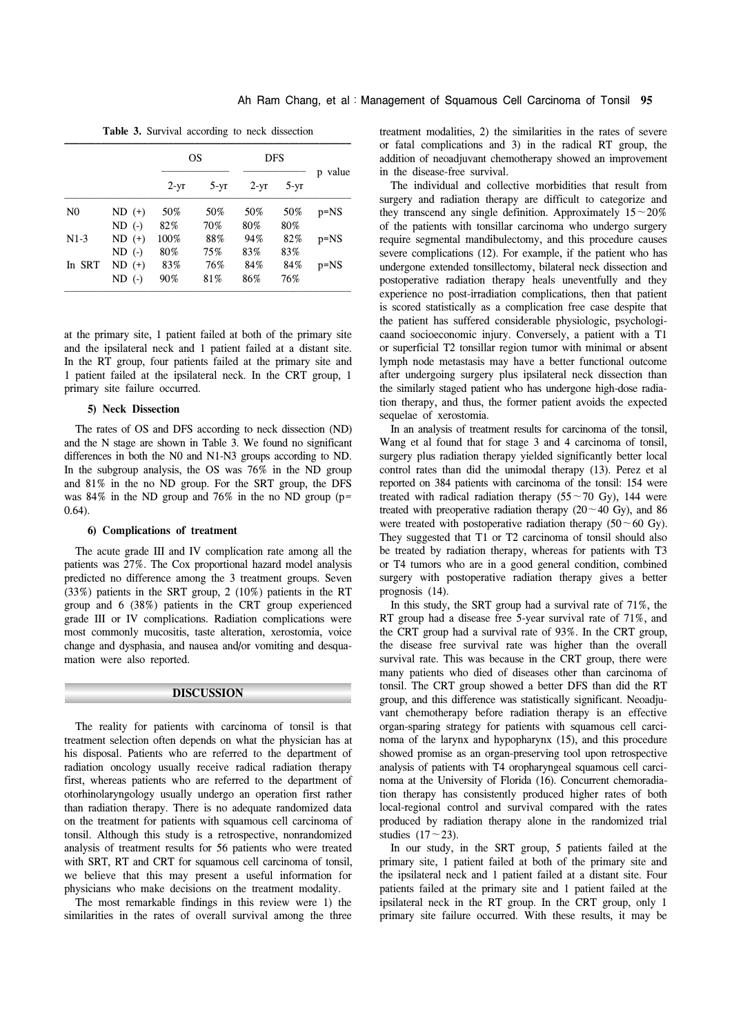|                |            | OS     |        | DFS    |        |            |
|----------------|------------|--------|--------|--------|--------|------------|
|                |            | $2-yr$ | $5-yr$ | $2-yr$ | $5-yr$ | value<br>D |
| N <sub>0</sub> | $ND (+)$   | 50%    | 50%    | 50%    | 50%    | $p=NS$     |
|                | $ND$ (-)   | 82%    | 70%    | 80%    | 80%    |            |
| $N1-3$         | $ND (+)$   | 100%   | 88%    | 94%    | 82%    | $p=NS$     |
|                | $ND$ (-)   | 80%    | 75%    | 83%    | 83%    |            |
| In SRT         | $ND$ $(+)$ | 83%    | 76%    | 84%    | 84%    | $p=NS$     |
|                | $ND$ (-)   | 90%    | 81%    | 86%    | 76%    |            |

**Table 3.** Survival according to neck dissection

at the primary site, 1 patient failed at both of the primary site and the ipsilateral neck and 1 patient failed at a distant site. In the RT group, four patients failed at the primary site and 1 patient failed at the ipsilateral neck. In the CRT group, 1 primary site failure occurred.

## **5) Neck Dissection**

 The rates of OS and DFS according to neck dissection (ND) and the N stage are shown in Table 3. We found no significant differences in both the N0 and N1-N3 groups according to ND. In the subgroup analysis, the OS was 76% in the ND group and 81% in the no ND group. For the SRT group, the DFS was 84% in the ND group and 76% in the no ND group (p*=*  0.64).

## **6) Complications of treatment**

 The acute grade III and IV complication rate among all the patients was 27%. The Cox proportional hazard model analysis predicted no difference among the 3 treatment groups. Seven (33%) patients in the SRT group, 2 (10%) patients in the RT group and 6 (38%) patients in the CRT group experienced grade III or IV complications. Radiation complications were most commonly mucositis, taste alteration, xerostomia, voice change and dysphasia, and nausea and/or vomiting and desquamation were also reported.

## **DISCUSSION**

 The reality for patients with carcinoma of tonsil is that treatment selection often depends on what the physician has at his disposal. Patients who are referred to the department of radiation oncology usually receive radical radiation therapy first, whereas patients who are referred to the department of otorhinolaryngology usually undergo an operation first rather than radiation therapy. There is no adequate randomized data on the treatment for patients with squamous cell carcinoma of tonsil. Although this study is a retrospective, nonrandomized analysis of treatment results for 56 patients who were treated with SRT, RT and CRT for squamous cell carcinoma of tonsil, we believe that this may present a useful information for physicians who make decisions on the treatment modality.

 The most remarkable findings in this review were 1) the similarities in the rates of overall survival among the three treatment modalities, 2) the similarities in the rates of severe or fatal complications and 3) in the radical RT group, the addition of neoadjuvant chemotherapy showed an improvement in the disease-free survival.

 The individual and collective morbidities that result from surgery and radiation therapy are difficult to categorize and they transcend any single definition. Approximately  $15 \sim 20\%$ of the patients with tonsillar carcinoma who undergo surgery require segmental mandibulectomy, and this procedure causes severe complications (12). For example, if the patient who has undergone extended tonsillectomy, bilateral neck dissection and postoperative radiation therapy heals uneventfully and they experience no post-irradiation complications, then that patient is scored statistically as a complication free case despite that the patient has suffered considerable physiologic, psychologicaand socioeconomic injury. Conversely, a patient with a T1 or superficial T2 tonsillar region tumor with minimal or absent lymph node metastasis may have a better functional outcome after undergoing surgery plus ipsilateral neck dissection than the similarly staged patient who has undergone high-dose radiation therapy, and thus, the former patient avoids the expected sequelae of xerostomia.

 In an analysis of treatment results for carcinoma of the tonsil, Wang et al found that for stage 3 and 4 carcinoma of tonsil, surgery plus radiation therapy yielded significantly better local control rates than did the unimodal therapy (13). Perez et al reported on 384 patients with carcinoma of the tonsil: 154 were treated with radical radiation therapy  $(55 \sim 70 \text{ Gy})$ , 144 were treated with preoperative radiation therapy  $(20 \sim 40 \text{ Gy})$ , and 86 were treated with postoperative radiation therapy  $(50 \sim 60 \text{ Gy})$ . They suggested that T1 or T2 carcinoma of tonsil should also be treated by radiation therapy, whereas for patients with T3 or T4 tumors who are in a good general condition, combined surgery with postoperative radiation therapy gives a better prognosis (14).

 In this study, the SRT group had a survival rate of 71%, the RT group had a disease free 5-year survival rate of 71%, and the CRT group had a survival rate of 93%. In the CRT group, the disease free survival rate was higher than the overall survival rate. This was because in the CRT group, there were many patients who died of diseases other than carcinoma of tonsil. The CRT group showed a better DFS than did the RT group, and this difference was statistically significant. Neoadjuvant chemotherapy before radiation therapy is an effective organ-sparing strategy for patients with squamous cell carcinoma of the larynx and hypopharynx (15), and this procedure showed promise as an organ-preserving tool upon retrospective analysis of patients with T4 oropharyngeal squamous cell carcinoma at the University of Florida (16). Concurrent chemoradiation therapy has consistently produced higher rates of both local-regional control and survival compared with the rates produced by radiation therapy alone in the randomized trial studies  $(17 \sim 23)$ .

 In our study, in the SRT group, 5 patients failed at the primary site, 1 patient failed at both of the primary site and the ipsilateral neck and 1 patient failed at a distant site. Four patients failed at the primary site and 1 patient failed at the ipsilateral neck in the RT group. In the CRT group, only 1 primary site failure occurred. With these results, it may be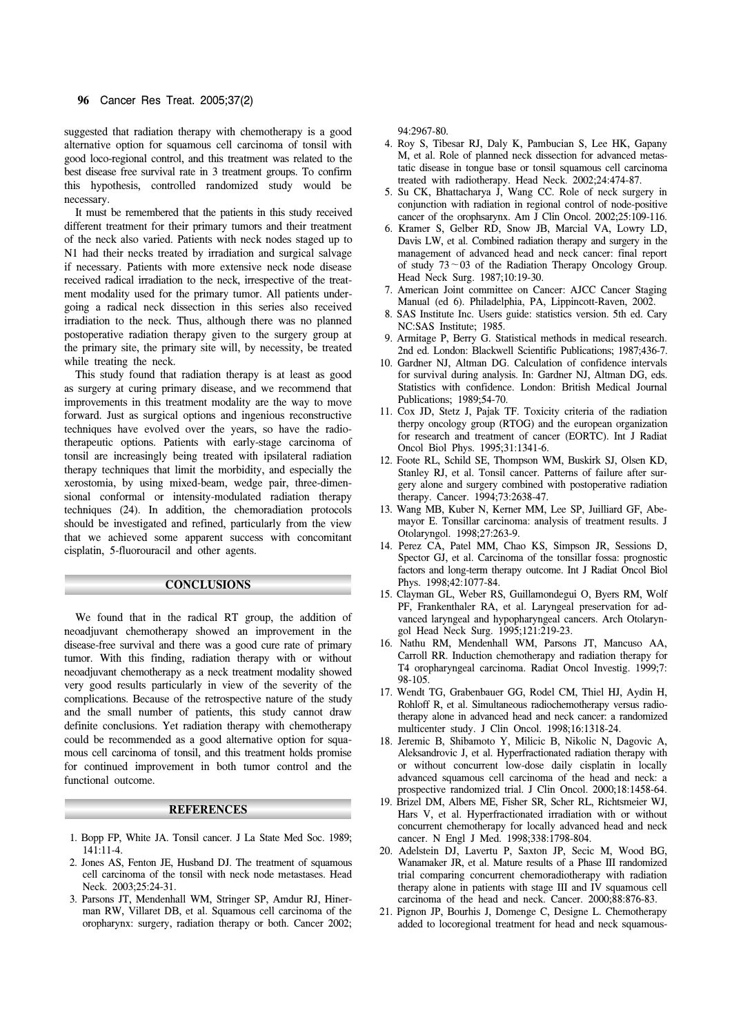suggested that radiation therapy with chemotherapy is a good alternative option for squamous cell carcinoma of tonsil with good loco-regional control, and this treatment was related to the best disease free survival rate in 3 treatment groups. To confirm this hypothesis, controlled randomized study would be necessary.

 It must be remembered that the patients in this study received different treatment for their primary tumors and their treatment of the neck also varied. Patients with neck nodes staged up to N1 had their necks treated by irradiation and surgical salvage if necessary. Patients with more extensive neck node disease received radical irradiation to the neck, irrespective of the treatment modality used for the primary tumor. All patients undergoing a radical neck dissection in this series also received irradiation to the neck. Thus, although there was no planned postoperative radiation therapy given to the surgery group at the primary site, the primary site will, by necessity, be treated while treating the neck.

 This study found that radiation therapy is at least as good as surgery at curing primary disease, and we recommend that improvements in this treatment modality are the way to move forward. Just as surgical options and ingenious reconstructive techniques have evolved over the years, so have the radiotherapeutic options. Patients with early-stage carcinoma of tonsil are increasingly being treated with ipsilateral radiation therapy techniques that limit the morbidity, and especially the xerostomia, by using mixed-beam, wedge pair, three-dimensional conformal or intensity-modulated radiation therapy techniques (24). In addition, the chemoradiation protocols should be investigated and refined, particularly from the view that we achieved some apparent success with concomitant cisplatin, 5-fluorouracil and other agents.

## **CONCLUSIONS**

 We found that in the radical RT group, the addition of neoadjuvant chemotherapy showed an improvement in the disease-free survival and there was a good cure rate of primary tumor. With this finding, radiation therapy with or without neoadjuvant chemotherapy as a neck treatment modality showed very good results particularly in view of the severity of the complications. Because of the retrospective nature of the study and the small number of patients, this study cannot draw definite conclusions. Yet radiation therapy with chemotherapy could be recommended as a good alternative option for squamous cell carcinoma of tonsil, and this treatment holds promise for continued improvement in both tumor control and the functional outcome.

#### **REFERENCES**

- 1. Bopp FP, White JA. Tonsil cancer. J La State Med Soc. 1989; 141:11-4.
- 2. Jones AS, Fenton JE, Husband DJ. The treatment of squamous cell carcinoma of the tonsil with neck node metastases. Head Neck. 2003;25:24-31.
- 3. Parsons JT, Mendenhall WM, Stringer SP, Amdur RJ, Hinerman RW, Villaret DB, et al. Squamous cell carcinoma of the oropharynx: surgery, radiation therapy or both. Cancer 2002;

94:2967-80.

- 4. Roy S, Tibesar RJ, Daly K, Pambucian S, Lee HK, Gapany M, et al. Role of planned neck dissection for advanced metastatic disease in tongue base or tonsil squamous cell carcinoma treated with radiotherapy. Head Neck. 2002;24:474-87.
- 5. Su CK, Bhattacharya J, Wang CC. Role of neck surgery in conjunction with radiation in regional control of node-positive cancer of the orophsarynx. Am J Clin Oncol. 2002;25:109-116.
- 6. Kramer S, Gelber RD, Snow JB, Marcial VA, Lowry LD, Davis LW, et al. Combined radiation therapy and surgery in the management of advanced head and neck cancer: final report of study  $73 \sim 03$  of the Radiation Therapy Oncology Group. Head Neck Surg. 1987;10:19-30.
- 7. American Joint committee on Cancer: AJCC Cancer Staging Manual (ed 6). Philadelphia, PA, Lippincott-Raven, 2002.
- 8. SAS Institute Inc. Users guide: statistics version. 5th ed. Cary NC:SAS Institute; 1985.
- 9. Armitage P, Berry G. Statistical methods in medical research. 2nd ed. London: Blackwell Scientific Publications; 1987;436-7.
- 10. Gardner NJ, Altman DG. Calculation of confidence intervals for survival during analysis. In: Gardner NJ, Altman DG, eds. Statistics with confidence. London: British Medical Journal Publications; 1989;54-70.
- 11. Cox JD, Stetz J, Pajak TF. Toxicity criteria of the radiation therpy oncology group (RTOG) and the european organization for research and treatment of cancer (EORTC). Int J Radiat Oncol Biol Phys. 1995;31:1341-6.
- 12. Foote RL, Schild SE, Thompson WM, Buskirk SJ, Olsen KD, Stanley RJ, et al. Tonsil cancer. Patterns of failure after surgery alone and surgery combined with postoperative radiation therapy. Cancer. 1994;73:2638-47.
- 13. Wang MB, Kuber N, Kerner MM, Lee SP, Juilliard GF, Abemayor E. Tonsillar carcinoma: analysis of treatment results. J Otolaryngol. 1998;27:263-9.
- 14. Perez CA, Patel MM, Chao KS, Simpson JR, Sessions D, Spector GJ, et al. Carcinoma of the tonsillar fossa: prognostic factors and long-term therapy outcome. Int J Radiat Oncol Biol Phys. 1998;42:1077-84.
- 15. Clayman GL, Weber RS, Guillamondegui O, Byers RM, Wolf PF, Frankenthaler RA, et al. Laryngeal preservation for advanced laryngeal and hypopharyngeal cancers. Arch Otolaryngol Head Neck Surg. 1995;121:219-23.
- 16. Nathu RM, Mendenhall WM, Parsons JT, Mancuso AA, Carroll RR. Induction chemotherapy and radiation therapy for T4 oropharyngeal carcinoma. Radiat Oncol Investig. 1999;7: 98-105.
- 17. Wendt TG, Grabenbauer GG, Rodel CM, Thiel HJ, Aydin H, Rohloff R, et al. Simultaneous radiochemotherapy versus radiotherapy alone in advanced head and neck cancer: a randomized multicenter study. J Clin Oncol. 1998;16:1318-24.
- 18. Jeremic B, Shibamoto Y, Milicic B, Nikolic N, Dagovic A, Aleksandrovic J, et al. Hyperfractionated radiation therapy with or without concurrent low-dose daily cisplatin in locally advanced squamous cell carcinoma of the head and neck: a prospective randomized trial. J Clin Oncol. 2000;18:1458-64.
- 19. Brizel DM, Albers ME, Fisher SR, Scher RL, Richtsmeier WJ, Hars V, et al. Hyperfractionated irradiation with or without concurrent chemotherapy for locally advanced head and neck cancer. N Engl J Med. 1998;338:1798-804.
- 20. Adelstein DJ, Lavertu P, Saxton JP, Secic M, Wood BG, Wanamaker JR, et al. Mature results of a Phase III randomized trial comparing concurrent chemoradiotherapy with radiation therapy alone in patients with stage III and IV squamous cell carcinoma of the head and neck. Cancer. 2000;88:876-83.
- 21. Pignon JP, Bourhis J, Domenge C, Designe L. Chemotherapy added to locoregional treatment for head and neck squamous-